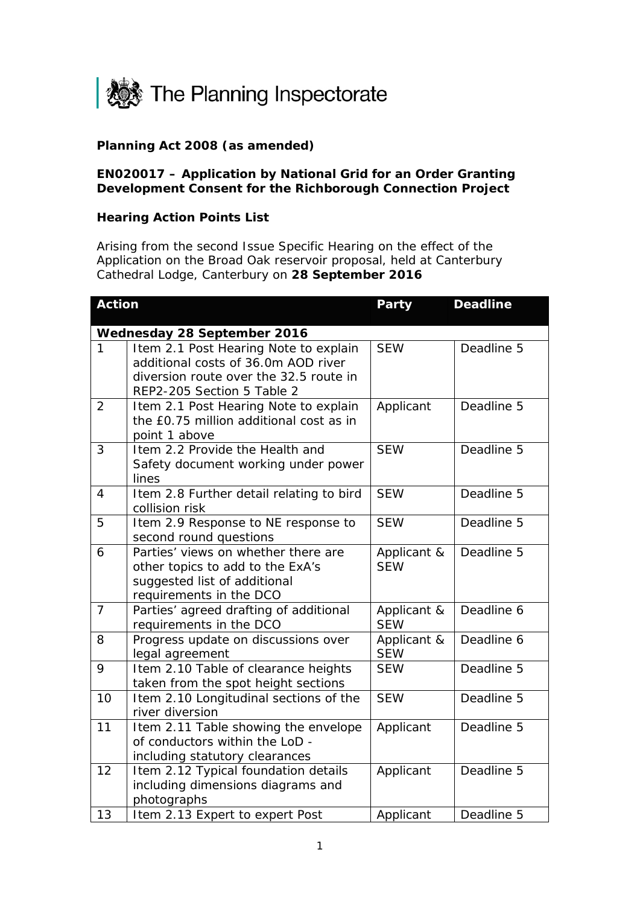

## **Planning Act 2008 (as amended)**

## **EN020017 – Application by National Grid for an Order Granting Development Consent for the Richborough Connection Project**

## **Hearing Action Points List**

Arising from the second Issue Specific Hearing on the effect of the Application on the Broad Oak reservoir proposal, held at Canterbury Cathedral Lodge, Canterbury on **28 September 2016**

| <b>Action</b>               |                                                                              | <b>Party</b> | <b>Deadline</b> |  |
|-----------------------------|------------------------------------------------------------------------------|--------------|-----------------|--|
|                             |                                                                              |              |                 |  |
| Wednesday 28 September 2016 |                                                                              |              |                 |  |
| 1                           | Item 2.1 Post Hearing Note to explain<br>additional costs of 36.0m AOD river | <b>SEW</b>   | Deadline 5      |  |
|                             | diversion route over the 32.5 route in                                       |              |                 |  |
|                             | REP2-205 Section 5 Table 2                                                   |              |                 |  |
| $\overline{2}$              | Item 2.1 Post Hearing Note to explain                                        | Applicant    | Deadline 5      |  |
|                             | the £0.75 million additional cost as in                                      |              |                 |  |
|                             | point 1 above                                                                |              |                 |  |
| 3                           | Item 2.2 Provide the Health and                                              | <b>SEW</b>   | Deadline 5      |  |
|                             | Safety document working under power                                          |              |                 |  |
|                             | lines                                                                        |              |                 |  |
| $\overline{4}$              | Item 2.8 Further detail relating to bird                                     | <b>SEW</b>   | Deadline 5      |  |
|                             | collision risk                                                               |              |                 |  |
| 5                           | Item 2.9 Response to NE response to                                          | <b>SEW</b>   | Deadline 5      |  |
|                             | second round questions                                                       |              |                 |  |
| 6                           | Parties' views on whether there are                                          | Applicant &  | Deadline 5      |  |
|                             | other topics to add to the ExA's                                             | <b>SEW</b>   |                 |  |
|                             | suggested list of additional                                                 |              |                 |  |
|                             | requirements in the DCO                                                      |              |                 |  |
| $\overline{7}$              | Parties' agreed drafting of additional                                       | Applicant &  | Deadline 6      |  |
|                             | requirements in the DCO                                                      | <b>SEW</b>   |                 |  |
| 8                           | Progress update on discussions over                                          | Applicant &  | Deadline 6      |  |
|                             | legal agreement                                                              | <b>SEW</b>   |                 |  |
| 9                           | Item 2.10 Table of clearance heights                                         | <b>SEW</b>   | Deadline 5      |  |
|                             | taken from the spot height sections                                          |              |                 |  |
| 10                          | Item 2.10 Longitudinal sections of the                                       | <b>SEW</b>   | Deadline 5      |  |
|                             | river diversion                                                              |              |                 |  |
| 11                          | Item 2.11 Table showing the envelope<br>of conductors within the LoD -       | Applicant    | Deadline 5      |  |
|                             |                                                                              |              |                 |  |
| 12                          | including statutory clearances                                               |              | Deadline 5      |  |
|                             | Item 2.12 Typical foundation details<br>including dimensions diagrams and    | Applicant    |                 |  |
|                             | photographs                                                                  |              |                 |  |
| 13                          | Item 2.13 Expert to expert Post                                              | Applicant    | Deadline 5      |  |